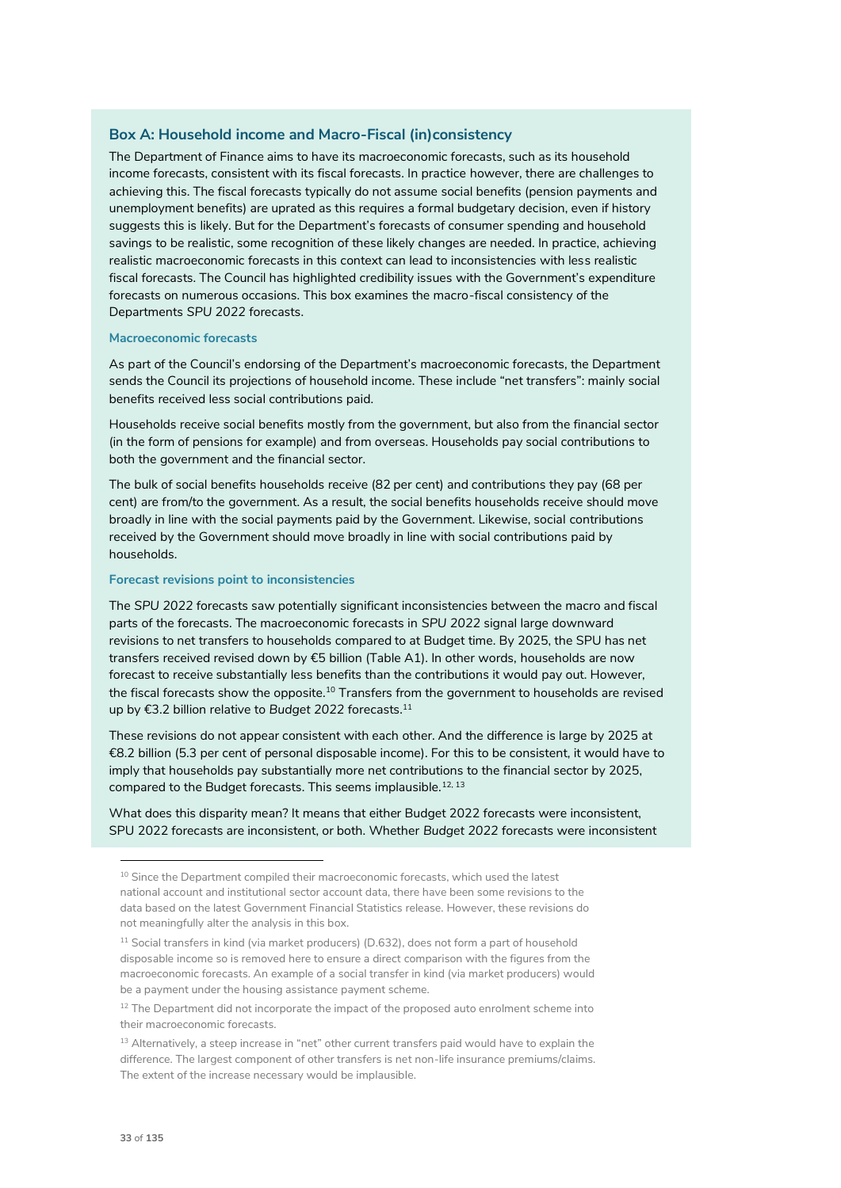## **Box A: Household income and Macro-Fiscal (in)consistency**

The Department of Finance aims to have its macroeconomic forecasts, such as its household income forecasts, consistent with its fiscal forecasts. In practice however, there are challenges to achieving this. The fiscal forecasts typically do not assume social benefits (pension payments and unemployment benefits) are uprated as this requires a formal budgetary decision, even if history suggests this is likely. But for the Department's forecasts of consumer spending and household savings to be realistic, some recognition of these likely changes are needed. In practice, achieving realistic macroeconomic forecasts in this context can lead to inconsistencies with less realistic fiscal forecasts. The Council has highlighted credibility issues with the Government's expenditure forecasts on numerous occasions. This box examines the macro-fiscal consistency of the Departments *SPU 2022* forecasts.

#### **Macroeconomic forecasts**

As part of the Council's endorsing of the Department's macroeconomic forecasts, the Department sends the Council its projections of household income. These include "net transfers": mainly social benefits received less social contributions paid.

Households receive social benefits mostly from the government, but also from the financial sector (in the form of pensions for example) and from overseas. Households pay social contributions to both the government and the financial sector.

The bulk of social benefits households receive (82 per cent) and contributions they pay (68 per cent) are from/to the government. As a result, the social benefits households receive should move broadly in line with the social payments paid by the Government. Likewise, social contributions received by the Government should move broadly in line with social contributions paid by households.

### **Forecast revisions point to inconsistencies**

The *SPU 2022* forecasts saw potentially significant inconsistencies between the macro and fiscal parts of the forecasts. The macroeconomic forecasts in *SPU 2022* signal large downward revisions to net transfers to households compared to at Budget time. By 2025, the SPU has net transfers received revised down by €5 billion (Table A1). In other words, households are now forecast to receive substantially less benefits than the contributions it would pay out. However, the fiscal forecasts show the opposite.<sup>10</sup> Transfers from the government to households are revised up by €3.2 billion relative to *Budget 2022* forecasts.<sup>11</sup>

These revisions do not appear consistent with each other. And the difference is large by 2025 at €8.2 billion (5.3 per cent of personal disposable income). For this to be consistent, it would have to imply that households pay substantially more net contributions to the financial sector by 2025, compared to the Budget forecasts. This seems implausible.<sup>12, 13</sup>

# What does this disparity mean? It means that either Budget 2022 forecasts were inconsistent, SPU 2022 forecasts are inconsistent, or both. Whether *Budget 2022* forecasts were inconsistent

<sup>&</sup>lt;sup>10</sup> Since the Department compiled their macroeconomic forecasts, which used the latest national account and institutional sector account data, there have been some revisions to the data based on the latest Government Financial Statistics release. However, these revisions do not meaningfully alter the analysis in this box.

 $11$  Social transfers in kind (via market producers) (D.632), does not form a part of household disposable income so is removed here to ensure a direct comparison with the figures from the macroeconomic forecasts. An example of a social transfer in kind (via market producers) would be a payment under the housing assistance payment scheme.

 $12$  The Department did not incorporate the impact of the proposed auto enrolment scheme into their macroeconomic forecasts.

<sup>&</sup>lt;sup>13</sup> Alternatively, a steep increase in "net" other current transfers paid would have to explain the difference. The largest component of other transfers is net non-life insurance premiums/claims. The extent of the increase necessary would be implausible.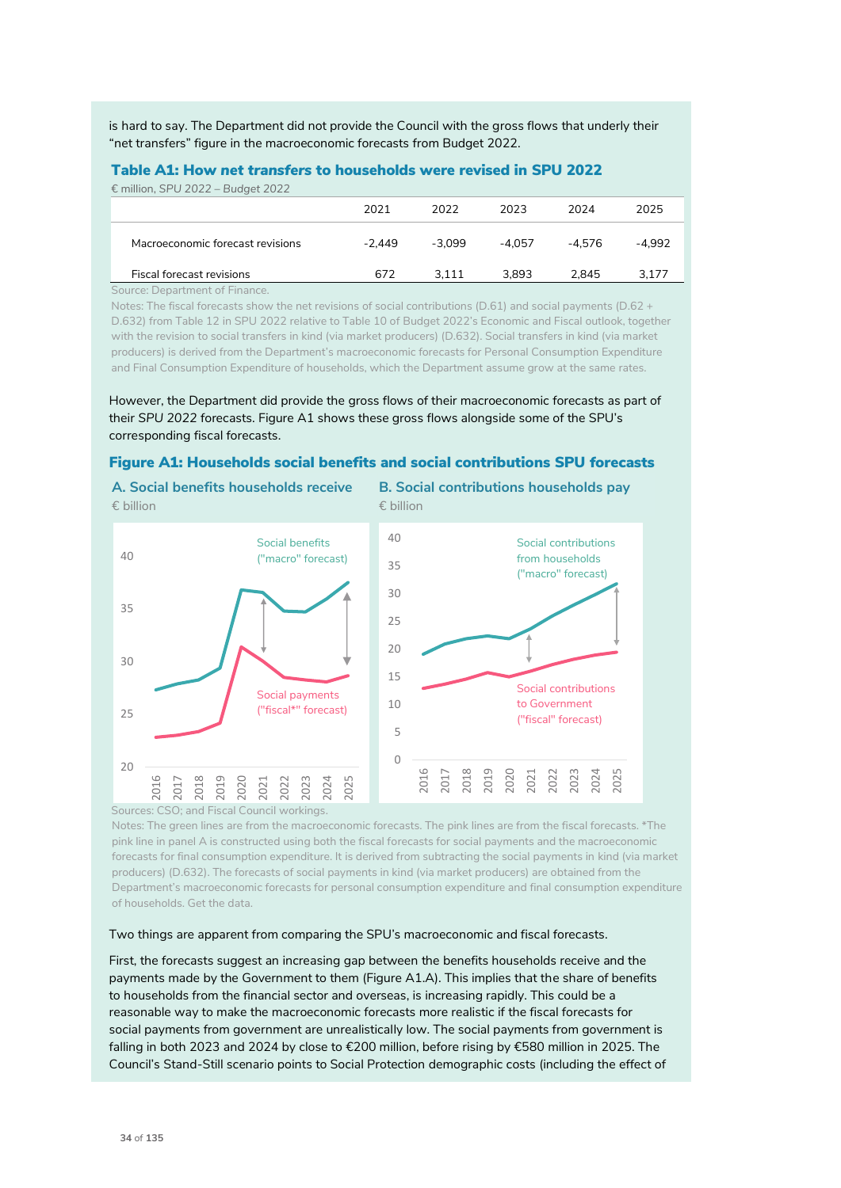is hard to say. The Department did not provide the Council with the gross flows that underly their "net transfers" figure in the macroeconomic forecasts from Budget 2022.

# Table A1: How *net transfers* to households were revised in SPU 2022

| $\epsilon$ million, SPU 2022 – Budget 2022 |          |          |          |        |        |
|--------------------------------------------|----------|----------|----------|--------|--------|
|                                            | 2021     | 2022     | 2023     | 2024   | 2025   |
| Macroeconomic forecast revisions           | $-2.449$ | $-3.099$ | $-4.057$ | -4.576 | -4.992 |
| Fiscal forecast revisions                  | 672      | 3.111    | 3.893    | 2.845  | 3.177  |
| Source: Department of Finance              |          |          |          |        |        |

Notes: The fiscal forecasts show the net revisions of social contributions (D.61) and social payments (D.62 + D.632) from Table 12 in SPU 2022 relative to Table 10 of Budget 2022's Economic and Fiscal outlook, together with the revision to social transfers in kind (via market producers) (D.632). Social transfers in kind (via market producers) is derived from the Department's macroeconomic forecasts for Personal Consumption Expenditure and Final Consumption Expenditure of households, which the Department assume grow at the same rates.

However, the Department did provide the gross flows of their macroeconomic forecasts as part of their *SPU 2022* forecasts. Figure A1 shows these gross flows alongside some of the SPU's corresponding fiscal forecasts.

# Figure A1: Households social benefits and social contributions SPU forecasts

**A. Social benefits households receive** € billion

**B. Social contributions households pay**



Notes: The green lines are from the macroeconomic forecasts. The pink lines are from the fiscal forecasts. \*The pink line in panel A is constructed using both the fiscal forecasts for social payments and the macroeconomic forecasts for final consumption expenditure. It is derived from subtracting the social payments in kind (via market producers) (D.632). The forecasts of social payments in kind (via market producers) are obtained from the Department's macroeconomic forecasts for personal consumption expenditure and final consumption expenditure of households. Get the data.

Two things are apparent from comparing the SPU's macroeconomic and fiscal forecasts.

First, the forecasts suggest an increasing gap between the benefits households receive and the payments made by the Government to them (Figure A1.A). This implies that the share of benefits to households from the financial sector and overseas, is increasing rapidly. This could be a reasonable way to make the macroeconomic forecasts more realistic if the fiscal forecasts for social payments from government are unrealistically low. The social payments from government is falling in both 2023 and 2024 by close to €200 million, before rising by €580 million in 2025. The Council's Stand-Still scenario points to Social Protection demographic costs (including the effect of